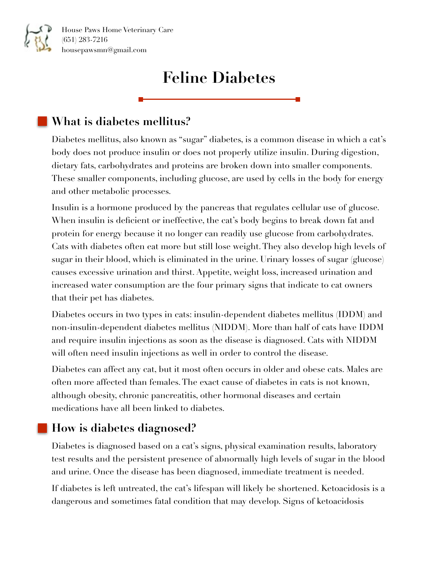# **Feline Diabetes**

## **What is diabetes mellitus?**

Diabetes mellitus, also known as "sugar" diabetes, is a common disease in which a cat's body does not produce insulin or does not properly utilize insulin. During digestion, dietary fats, carbohydrates and proteins are broken down into smaller components. These smaller components, including glucose, are used by cells in the body for energy and other metabolic processes.

Insulin is a hormone produced by the pancreas that regulates cellular use of glucose. When insulin is deficient or ineffective, the cat's body begins to break down fat and protein for energy because it no longer can readily use glucose from carbohydrates. Cats with diabetes often eat more but still lose weight. They also develop high levels of sugar in their blood, which is eliminated in the urine. Urinary losses of sugar (glucose) causes excessive urination and thirst. Appetite, weight loss, increased urination and increased water consumption are the four primary signs that indicate to cat owners that their pet has diabetes.

Diabetes occurs in two types in cats: insulin-dependent diabetes mellitus (IDDM) and non-insulin-dependent diabetes mellitus (NIDDM). More than half of cats have IDDM and require insulin injections as soon as the disease is diagnosed. Cats with NIDDM will often need insulin injections as well in order to control the disease.

Diabetes can affect any cat, but it most often occurs in older and obese cats. Males are often more affected than females. The exact cause of diabetes in cats is not known, although obesity, chronic pancreatitis, other hormonal diseases and certain medications have all been linked to diabetes.

## **How is diabetes diagnosed?**

Diabetes is diagnosed based on a cat's signs, physical examination results, laboratory test results and the persistent presence of abnormally high levels of sugar in the blood and urine. Once the disease has been diagnosed, immediate treatment is needed.

If diabetes is left untreated, the cat's lifespan will likely be shortened. Ketoacidosis is a dangerous and sometimes fatal condition that may develop. Signs of ketoacidosis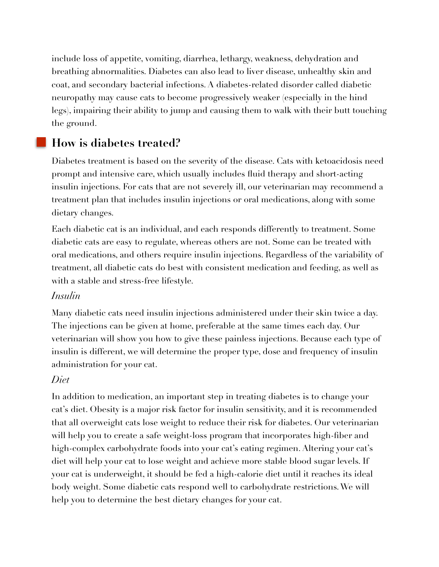include loss of appetite, vomiting, diarrhea, lethargy, weakness, dehydration and breathing abnormalities. Diabetes can also lead to liver disease, unhealthy skin and coat, and secondary bacterial infections. A diabetes-related disorder called diabetic neuropathy may cause cats to become progressively weaker (especially in the hind legs), impairing their ability to jump and causing them to walk with their butt touching the ground.

## **How is diabetes treated?**

Diabetes treatment is based on the severity of the disease. Cats with ketoacidosis need prompt and intensive care, which usually includes fluid therapy and short-acting insulin injections. For cats that are not severely ill, our veterinarian may recommend a treatment plan that includes insulin injections or oral medications, along with some dietary changes.

Each diabetic cat is an individual, and each responds differently to treatment. Some diabetic cats are easy to regulate, whereas others are not. Some can be treated with oral medications, and others require insulin injections. Regardless of the variability of treatment, all diabetic cats do best with consistent medication and feeding, as well as with a stable and stress-free lifestyle.

#### *Insulin*

Many diabetic cats need insulin injections administered under their skin twice a day. The injections can be given at home, preferable at the same times each day. Our veterinarian will show you how to give these painless injections. Because each type of insulin is different, we will determine the proper type, dose and frequency of insulin administration for your cat.

#### *Diet*

In addition to medication, an important step in treating diabetes is to change your cat's diet. Obesity is a major risk factor for insulin sensitivity, and it is recommended that all overweight cats lose weight to reduce their risk for diabetes. Our veterinarian will help you to create a safe weight-loss program that incorporates high-fiber and high-complex carbohydrate foods into your cat's eating regimen. Altering your cat's diet will help your cat to lose weight and achieve more stable blood sugar levels. If your cat is underweight, it should be fed a high-calorie diet until it reaches its ideal body weight. Some diabetic cats respond well to carbohydrate restrictions. We will help you to determine the best dietary changes for your cat.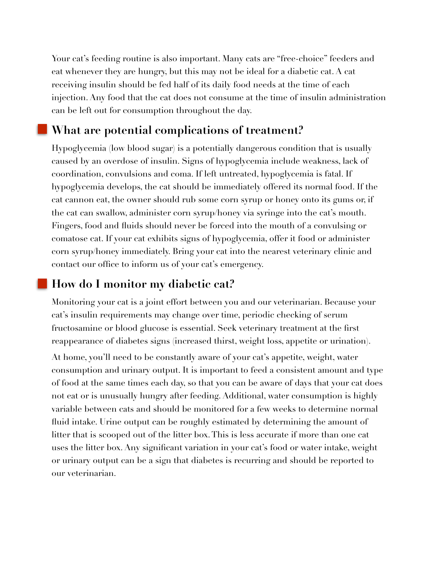Your cat's feeding routine is also important. Many cats are "free-choice" feeders and eat whenever they are hungry, but this may not be ideal for a diabetic cat. A cat receiving insulin should be fed half of its daily food needs at the time of each injection. Any food that the cat does not consume at the time of insulin administration can be left out for consumption throughout the day.

### **What are potential complications of treatment?**

Hypoglycemia (low blood sugar) is a potentially dangerous condition that is usually caused by an overdose of insulin. Signs of hypoglycemia include weakness, lack of coordination, convulsions and coma. If left untreated, hypoglycemia is fatal. If hypoglycemia develops, the cat should be immediately offered its normal food. If the cat cannon eat, the owner should rub some corn syrup or honey onto its gums or, if the cat can swallow, administer corn syrup/honey via syringe into the cat's mouth. Fingers, food and fluids should never be forced into the mouth of a convulsing or comatose cat. If your cat exhibits signs of hypoglycemia, offer it food or administer corn syrup/honey immediately. Bring your cat into the nearest veterinary clinic and contact our office to inform us of your cat's emergency.

#### **How do I monitor my diabetic cat?**

Monitoring your cat is a joint effort between you and our veterinarian. Because your cat's insulin requirements may change over time, periodic checking of serum fructosamine or blood glucose is essential. Seek veterinary treatment at the first reappearance of diabetes signs (increased thirst, weight loss, appetite or urination).

At home, you'll need to be constantly aware of your cat's appetite, weight, water consumption and urinary output. It is important to feed a consistent amount and type of food at the same times each day, so that you can be aware of days that your cat does not eat or is unusually hungry after feeding. Additional, water consumption is highly variable between cats and should be monitored for a few weeks to determine normal fluid intake. Urine output can be roughly estimated by determining the amount of litter that is scooped out of the litter box. This is less accurate if more than one cat uses the litter box. Any significant variation in your cat's food or water intake, weight or urinary output can be a sign that diabetes is recurring and should be reported to our veterinarian.